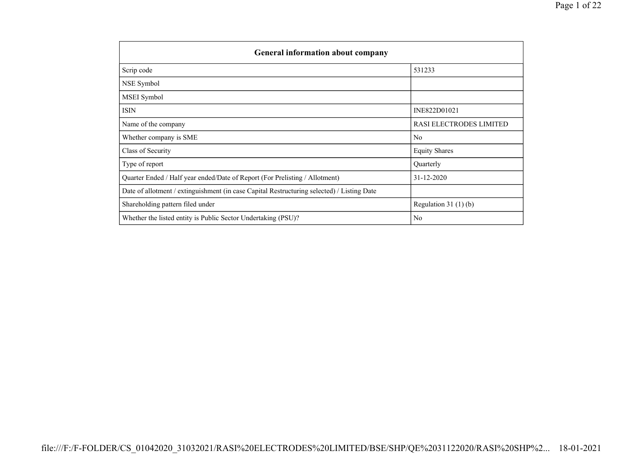| <b>General information about company</b>                                                   |                         |  |  |  |  |  |  |
|--------------------------------------------------------------------------------------------|-------------------------|--|--|--|--|--|--|
| Scrip code                                                                                 | 531233                  |  |  |  |  |  |  |
| NSE Symbol                                                                                 |                         |  |  |  |  |  |  |
| MSEI Symbol                                                                                |                         |  |  |  |  |  |  |
| ISIN                                                                                       | INE822D01021            |  |  |  |  |  |  |
| Name of the company                                                                        | RASI ELECTRODES LIMITED |  |  |  |  |  |  |
| Whether company is SME                                                                     | No                      |  |  |  |  |  |  |
| Class of Security                                                                          | <b>Equity Shares</b>    |  |  |  |  |  |  |
| Type of report                                                                             | Quarterly               |  |  |  |  |  |  |
| Quarter Ended / Half year ended/Date of Report (For Prelisting / Allotment)                | $31 - 12 - 2020$        |  |  |  |  |  |  |
| Date of allotment / extinguishment (in case Capital Restructuring selected) / Listing Date |                         |  |  |  |  |  |  |
| Shareholding pattern filed under                                                           | Regulation $31(1)(b)$   |  |  |  |  |  |  |
| Whether the listed entity is Public Sector Undertaking (PSU)?                              | No                      |  |  |  |  |  |  |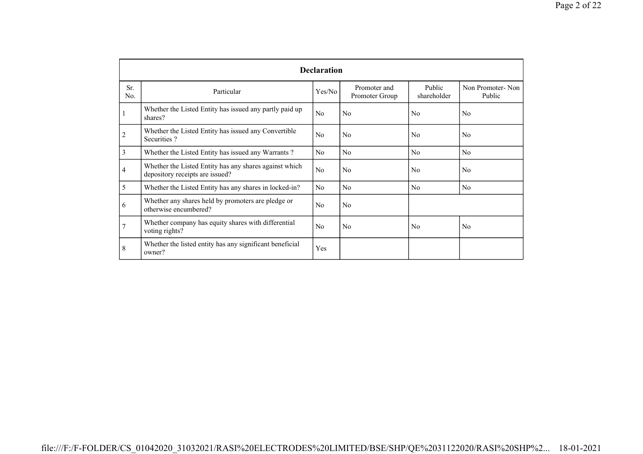|                |                                                                                           | <b>Declaration</b> |                                |                       |                            |
|----------------|-------------------------------------------------------------------------------------------|--------------------|--------------------------------|-----------------------|----------------------------|
| Sr.<br>No.     | Particular                                                                                | Yes/No             | Promoter and<br>Promoter Group | Public<br>shareholder | Non Promoter-Non<br>Public |
| 1              | Whether the Listed Entity has issued any partly paid up<br>shares?                        | N <sub>0</sub>     | N <sub>0</sub>                 | N <sub>0</sub>        | N <sub>0</sub>             |
| $\overline{2}$ | Whether the Listed Entity has issued any Convertible<br>Securities?                       | N <sub>0</sub>     | N <sub>0</sub>                 | No                    | N <sub>0</sub>             |
| 3              | Whether the Listed Entity has issued any Warrants?                                        | No                 | N <sub>0</sub>                 | No                    | N <sub>0</sub>             |
| 4              | Whether the Listed Entity has any shares against which<br>depository receipts are issued? | N <sub>0</sub>     | N <sub>0</sub>                 | N <sub>0</sub>        | N <sub>0</sub>             |
| 5              | Whether the Listed Entity has any shares in locked-in?                                    | N <sub>0</sub>     | N <sub>0</sub>                 | No                    | N <sub>0</sub>             |
| 6              | Whether any shares held by promoters are pledge or<br>otherwise encumbered?               | N <sub>0</sub>     | N <sub>0</sub>                 |                       |                            |
| $\overline{7}$ | Whether company has equity shares with differential<br>voting rights?                     | N <sub>o</sub>     | N <sub>0</sub>                 | N <sub>0</sub>        | N <sub>0</sub>             |
| 8              | Whether the listed entity has any significant beneficial<br>owner?                        | Yes                |                                |                       |                            |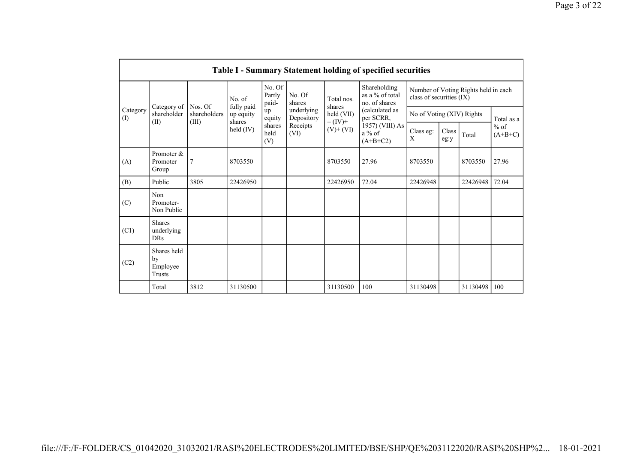|                 | Table I - Summary Statement holding of specified securities                                                         |                         |                                           |                           |                          |                      |                                                  |                                                                  |  |          |            |  |
|-----------------|---------------------------------------------------------------------------------------------------------------------|-------------------------|-------------------------------------------|---------------------------|--------------------------|----------------------|--------------------------------------------------|------------------------------------------------------------------|--|----------|------------|--|
|                 |                                                                                                                     |                         |                                           | No. Of<br>Partly<br>paid- | No. Of<br>shares         | Total nos.<br>shares | Shareholding<br>as a % of total<br>no. of shares | Number of Voting Rights held in each<br>class of securities (IX) |  |          |            |  |
| Category<br>(I) | Category of<br>shareholder                                                                                          | Nos. Of<br>shareholders | fully paid<br>up equity                   | up<br>equity              | underlying<br>Depository | held (VII)           | (calculated as<br>per SCRR,                      | No of Voting (XIV) Rights                                        |  |          | Total as a |  |
|                 | shares<br>$= (IV) +$<br>(II)<br>(III)<br>Receipts<br>shares<br>held $(IV)$<br>$(V)$ + $(VI)$<br>held<br>(VI)<br>(V) |                         | 1957) (VIII) As<br>$a\%$ of<br>$(A+B+C2)$ | Class eg:<br>X            | Class<br>eg:y            | Total                | $%$ of<br>$(A+B+C)$                              |                                                                  |  |          |            |  |
| (A)             | Promoter &<br>Promoter<br>Group                                                                                     | $\overline{7}$          | 8703550                                   |                           |                          | 8703550              | 27.96                                            | 8703550                                                          |  | 8703550  | 27.96      |  |
| (B)             | Public                                                                                                              | 3805                    | 22426950                                  |                           |                          | 22426950             | 72.04                                            | 22426948                                                         |  | 22426948 | 72.04      |  |
| (C)             | Non<br>Promoter-<br>Non Public                                                                                      |                         |                                           |                           |                          |                      |                                                  |                                                                  |  |          |            |  |
| (C1)            | <b>Shares</b><br>underlying<br><b>DRs</b>                                                                           |                         |                                           |                           |                          |                      |                                                  |                                                                  |  |          |            |  |
| (C2)            | Shares held<br>by<br>Employee<br>Trusts                                                                             |                         |                                           |                           |                          |                      |                                                  |                                                                  |  |          |            |  |
|                 | Total                                                                                                               | 3812                    | 31130500                                  |                           |                          | 31130500             | 100                                              | 31130498                                                         |  | 31130498 | 100        |  |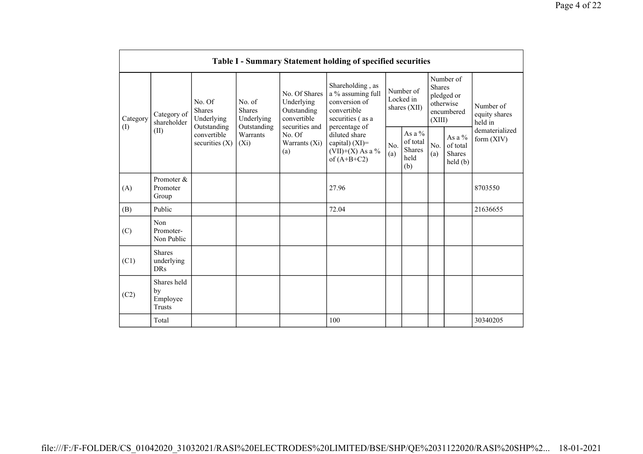|          | <b>Table I - Summary Statement holding of specified securities</b>                                                                     |                                       |                                       |                                                                            |                                                                                                            |                                                      |            |                                                                               |                                |                                       |
|----------|----------------------------------------------------------------------------------------------------------------------------------------|---------------------------------------|---------------------------------------|----------------------------------------------------------------------------|------------------------------------------------------------------------------------------------------------|------------------------------------------------------|------------|-------------------------------------------------------------------------------|--------------------------------|---------------------------------------|
| Category | Category of<br>shareholder                                                                                                             | No. Of<br><b>Shares</b><br>Underlying | No. of<br><b>Shares</b><br>Underlying | No. Of Shares<br>Underlying<br>Outstanding<br>convertible                  | Shareholding, as<br>a % assuming full<br>conversion of<br>convertible<br>securities (as a<br>percentage of | Number of<br>Locked in<br>shares (XII)               |            | Number of<br><b>Shares</b><br>pledged or<br>otherwise<br>encumbered<br>(XIII) |                                | Number of<br>equity shares<br>held in |
|          | Outstanding<br>Outstanding<br>securities and<br>(I)<br>(II)<br>convertible<br>Warrants<br>No. Of<br>securities $(X)$<br>$(X_i)$<br>(a) |                                       | Warrants (Xi)                         | diluted share<br>capital) $(XI)$ =<br>(VII)+(X) As a $\%$<br>of $(A+B+C2)$ | No.<br>(a)                                                                                                 | As a $%$<br>of total<br><b>Shares</b><br>held<br>(b) | No.<br>(a) | As a $%$<br>of total<br><b>Shares</b><br>held(b)                              | dematerialized<br>form $(XIV)$ |                                       |
| (A)      | Promoter &<br>Promoter<br>Group                                                                                                        |                                       |                                       |                                                                            | 27.96                                                                                                      |                                                      |            |                                                                               |                                | 8703550                               |
| (B)      | Public                                                                                                                                 |                                       |                                       |                                                                            | 72.04                                                                                                      |                                                      |            |                                                                               |                                | 21636655                              |
| (C)      | Non<br>Promoter-<br>Non Public                                                                                                         |                                       |                                       |                                                                            |                                                                                                            |                                                      |            |                                                                               |                                |                                       |
| (C1)     | <b>Shares</b><br>underlying<br><b>DRs</b>                                                                                              |                                       |                                       |                                                                            |                                                                                                            |                                                      |            |                                                                               |                                |                                       |
| (C2)     | Shares held<br>by<br>Employee<br><b>Trusts</b>                                                                                         |                                       |                                       |                                                                            |                                                                                                            |                                                      |            |                                                                               |                                |                                       |
|          | Total                                                                                                                                  |                                       |                                       |                                                                            | 100                                                                                                        |                                                      |            |                                                                               |                                | 30340205                              |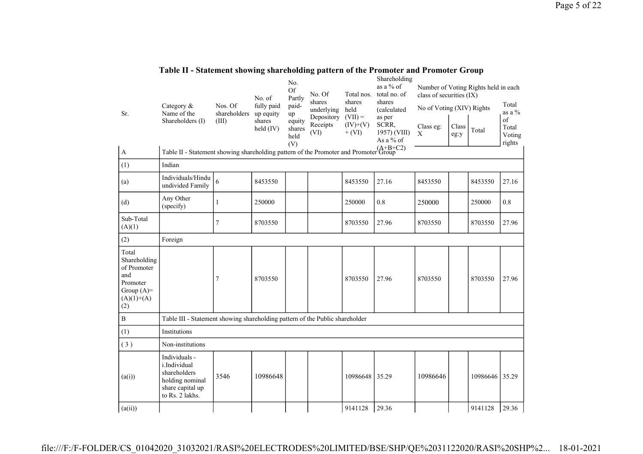| Sr.<br>$\mathbf{A}$                                                                            | Category &<br>Name of the<br>Shareholders (I)<br>Table II - Statement showing shareholding pattern of the Promoter and Promoter Group | Nos. Of<br>shareholders<br>(III) | No. of<br>fully paid<br>up equity<br>shares<br>held (IV) | No.<br>Of<br>Partly<br>paid-<br>up<br>equity<br>shares<br>held<br>(V) | No. Of<br>shares<br>underlying<br>Depository<br>Receipts<br>(VI) | Total nos.<br>shares<br>held<br>$(VII) =$<br>$(IV)+(V)$<br>$+ (VI)$ | Shareholding<br>as a % of<br>total no. of<br>shares<br>(calculated<br>as per<br>SCRR,<br>1957) (VIII)<br>As a % of | class of securities (IX)<br>No of Voting (XIV) Rights<br>Class eg:<br>X | Class<br>eg:y | Number of Voting Rights held in each<br>Total | Total<br>as a $%$<br>of<br>Total<br>Voting<br>rights |
|------------------------------------------------------------------------------------------------|---------------------------------------------------------------------------------------------------------------------------------------|----------------------------------|----------------------------------------------------------|-----------------------------------------------------------------------|------------------------------------------------------------------|---------------------------------------------------------------------|--------------------------------------------------------------------------------------------------------------------|-------------------------------------------------------------------------|---------------|-----------------------------------------------|------------------------------------------------------|
| (1)                                                                                            | Indian                                                                                                                                |                                  |                                                          |                                                                       |                                                                  |                                                                     |                                                                                                                    |                                                                         |               |                                               |                                                      |
| (a)                                                                                            | Individuals/Hindu<br>undivided Family                                                                                                 | 6                                | 8453550                                                  |                                                                       |                                                                  | 8453550                                                             | 27.16                                                                                                              | 8453550                                                                 |               | 8453550                                       | 27.16                                                |
| (d)                                                                                            | Any Other<br>(specify)                                                                                                                | 1                                | 250000                                                   |                                                                       |                                                                  | 250000                                                              | 0.8                                                                                                                | 250000                                                                  |               | 250000                                        | 0.8                                                  |
| Sub-Total<br>(A)(1)                                                                            |                                                                                                                                       | 7                                | 8703550                                                  |                                                                       |                                                                  | 8703550                                                             | 27.96                                                                                                              | 8703550                                                                 |               | 8703550                                       | 27.96                                                |
| (2)                                                                                            | Foreign                                                                                                                               |                                  |                                                          |                                                                       |                                                                  |                                                                     |                                                                                                                    |                                                                         |               |                                               |                                                      |
| Total<br>Shareholding<br>of Promoter<br>and<br>Promoter<br>Group $(A)=$<br>$(A)(1)+(A)$<br>(2) |                                                                                                                                       | 7                                | 8703550                                                  |                                                                       |                                                                  | 8703550                                                             | 27.96                                                                                                              | 8703550                                                                 |               | 8703550                                       | 27.96                                                |
| B                                                                                              | Table III - Statement showing shareholding pattern of the Public shareholder                                                          |                                  |                                                          |                                                                       |                                                                  |                                                                     |                                                                                                                    |                                                                         |               |                                               |                                                      |
| (1)                                                                                            | Institutions                                                                                                                          |                                  |                                                          |                                                                       |                                                                  |                                                                     |                                                                                                                    |                                                                         |               |                                               |                                                      |
| (3)                                                                                            | Non-institutions                                                                                                                      |                                  |                                                          |                                                                       |                                                                  |                                                                     |                                                                                                                    |                                                                         |               |                                               |                                                      |
| (a(i))                                                                                         | Individuals -<br>i.Individual<br>shareholders<br>holding nominal<br>share capital up<br>to Rs. 2 lakhs.                               | 3546                             | 10986648                                                 |                                                                       |                                                                  | 10986648                                                            | 35.29                                                                                                              | 10986646                                                                |               | 10986646                                      | 35.29                                                |
| (a(ii))                                                                                        |                                                                                                                                       |                                  |                                                          |                                                                       |                                                                  | 9141128                                                             | 29.36                                                                                                              |                                                                         |               | 9141128                                       | 29.36                                                |

## **Table II - Statement showing shareholding pattern of the Promoter and Promoter Group**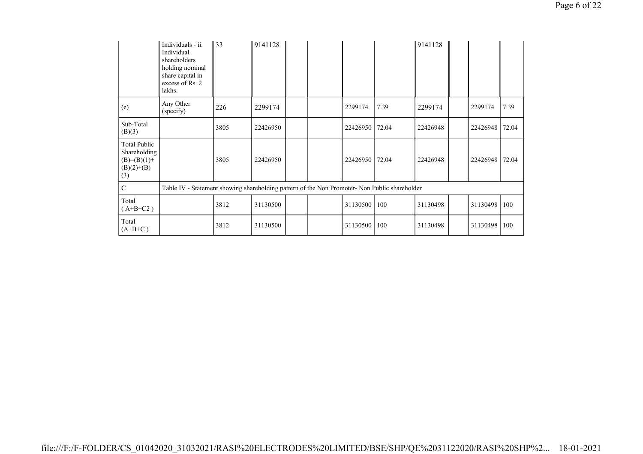|                                                                             | Individuals - ii.<br>Individual<br>shareholders<br>holding nominal<br>share capital in<br>excess of Rs. 2<br>lakhs. | 33   | 9141128  |  |          |       | 9141128  |          |       |
|-----------------------------------------------------------------------------|---------------------------------------------------------------------------------------------------------------------|------|----------|--|----------|-------|----------|----------|-------|
| (e)                                                                         | Any Other<br>(specify)                                                                                              | 226  | 2299174  |  | 2299174  | 7.39  | 2299174  | 2299174  | 7.39  |
| Sub-Total<br>(B)(3)                                                         |                                                                                                                     | 3805 | 22426950 |  | 22426950 | 72.04 | 22426948 | 22426948 | 72.04 |
| <b>Total Public</b><br>Shareholding<br>$(B)=(B)(1)+$<br>$(B)(2)+(B)$<br>(3) |                                                                                                                     | 3805 | 22426950 |  | 22426950 | 72.04 | 22426948 | 22426948 | 72.04 |
| $\mathbf C$                                                                 | Table IV - Statement showing shareholding pattern of the Non Promoter- Non Public shareholder                       |      |          |  |          |       |          |          |       |
| Total<br>$(A+B+C2)$                                                         |                                                                                                                     | 3812 | 31130500 |  | 31130500 | 100   | 31130498 | 31130498 | 100   |
| Total<br>$(A+B+C)$                                                          |                                                                                                                     | 3812 | 31130500 |  | 31130500 | 100   | 31130498 | 31130498 | 100   |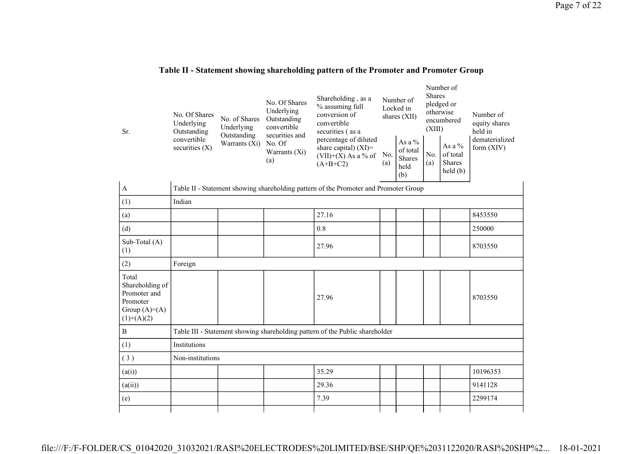| Sr.                                                                                    | No. Of Shares<br>Underlying<br>Outstanding | No. of Shares<br>Underlying  | No. Of Shares<br>Underlying<br>Outstanding<br>convertible<br>securities and                                                             | Shareholding, as a<br>% assuming full<br>conversion of<br>convertible<br>securities (as a | Number of<br>Locked in<br>shares (XII)               |            | Number of<br><b>Shares</b><br>pledged or<br>otherwise<br>encumbered<br>(XIII) |                              | Number of<br>equity shares<br>held in |
|----------------------------------------------------------------------------------------|--------------------------------------------|------------------------------|-----------------------------------------------------------------------------------------------------------------------------------------|-------------------------------------------------------------------------------------------|------------------------------------------------------|------------|-------------------------------------------------------------------------------|------------------------------|---------------------------------------|
|                                                                                        | convertible<br>securities $(X)$            | Outstanding<br>Warrants (Xi) | percentage of diluted<br>No. Of<br>share capital) $(XI)$ =<br>Warrants (Xi)<br>No.<br>$(VII)+(X)$ As a % of<br>(a)<br>(a)<br>$(A+B+C2)$ |                                                                                           | As a $%$<br>of total<br><b>Shares</b><br>held<br>(b) | No.<br>(a) | As a $%$<br>of total<br><b>Shares</b><br>$\text{held}(\text{b})$              | dematerialized<br>form (XIV) |                                       |
| $\mathbf{A}$                                                                           |                                            |                              |                                                                                                                                         | Table II - Statement showing shareholding pattern of the Promoter and Promoter Group      |                                                      |            |                                                                               |                              |                                       |
| (1)                                                                                    | Indian                                     |                              |                                                                                                                                         |                                                                                           |                                                      |            |                                                                               |                              |                                       |
| (a)                                                                                    |                                            |                              |                                                                                                                                         | 27.16                                                                                     |                                                      |            |                                                                               |                              | 8453550                               |
| (d)                                                                                    |                                            |                              |                                                                                                                                         | 0.8                                                                                       |                                                      |            |                                                                               |                              | 250000                                |
| Sub-Total (A)<br>(1)                                                                   |                                            |                              |                                                                                                                                         | 27.96                                                                                     |                                                      |            |                                                                               |                              | 8703550                               |
| (2)                                                                                    | Foreign                                    |                              |                                                                                                                                         |                                                                                           |                                                      |            |                                                                               |                              |                                       |
| Total<br>Shareholding of<br>Promoter and<br>Promoter<br>Group $(A)=A)$<br>$(1)+(A)(2)$ |                                            |                              |                                                                                                                                         | 27.96                                                                                     |                                                      |            |                                                                               |                              | 8703550                               |
| $\mathbf{B}$                                                                           |                                            |                              |                                                                                                                                         | Table III - Statement showing shareholding pattern of the Public shareholder              |                                                      |            |                                                                               |                              |                                       |
| (1)                                                                                    | Institutions                               |                              |                                                                                                                                         |                                                                                           |                                                      |            |                                                                               |                              |                                       |
| (3)                                                                                    | Non-institutions                           |                              |                                                                                                                                         |                                                                                           |                                                      |            |                                                                               |                              |                                       |
| (a(i))                                                                                 |                                            |                              |                                                                                                                                         | 35.29                                                                                     |                                                      |            |                                                                               |                              | 10196353                              |
| (a(ii))                                                                                |                                            |                              |                                                                                                                                         | 29.36                                                                                     |                                                      |            |                                                                               |                              | 9141128                               |
| (e)                                                                                    |                                            |                              |                                                                                                                                         | 7.39                                                                                      |                                                      |            |                                                                               |                              | 2299174                               |
|                                                                                        |                                            |                              |                                                                                                                                         |                                                                                           |                                                      |            |                                                                               |                              |                                       |

## **Table II - Statement showing shareholding pattern of the Promoter and Promoter Group**

file:///F:/F-FOLDER/CS\_01042020\_31032021/RASI%20ELECTRODES%20LIMITED/BSE/SHP/QE%2031122020/RASI%20SHP%2... 18-01-2021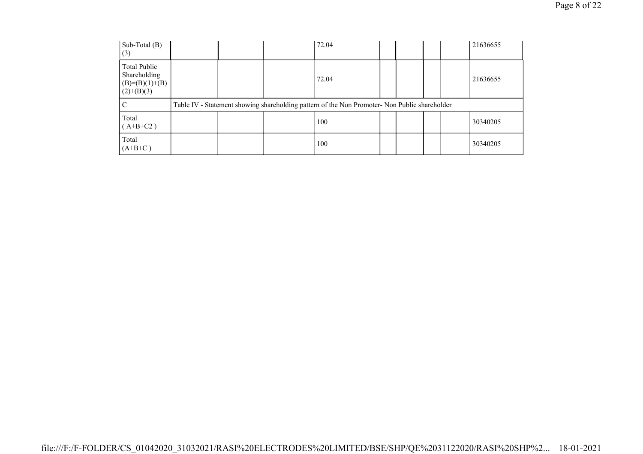| Sub-Total $(B)$<br>(3)                                            |  | 72.04                                                                                         |  |  | 21636655 |
|-------------------------------------------------------------------|--|-----------------------------------------------------------------------------------------------|--|--|----------|
| Total Public<br>Shareholding<br>$(B)= (B)(1)+(B)$<br>$(2)+(B)(3)$ |  | 72.04                                                                                         |  |  | 21636655 |
| С                                                                 |  | Table IV - Statement showing shareholding pattern of the Non Promoter- Non Public shareholder |  |  |          |
| Total<br>$(A+B+C2)$                                               |  | 100                                                                                           |  |  | 30340205 |
| Total<br>$(A+B+C)$                                                |  | 100                                                                                           |  |  | 30340205 |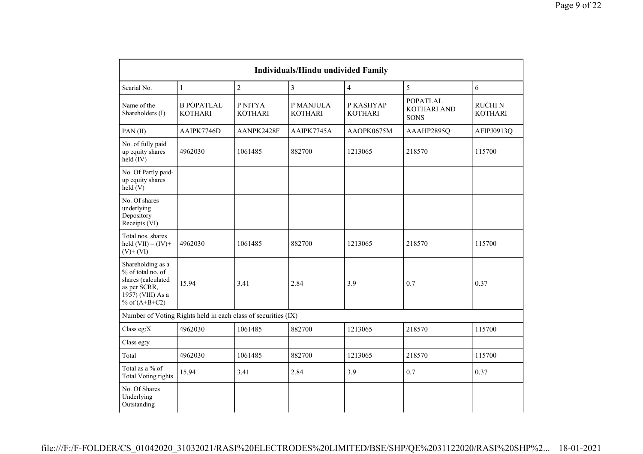| <b>Individuals/Hindu undivided Family</b>                                                                            |                                                               |                           |                             |                             |                                               |                                 |  |  |
|----------------------------------------------------------------------------------------------------------------------|---------------------------------------------------------------|---------------------------|-----------------------------|-----------------------------|-----------------------------------------------|---------------------------------|--|--|
| Searial No.                                                                                                          | $\mathbf{1}$                                                  | $\overline{2}$            | $\overline{3}$              | $\overline{4}$              | 5                                             | 6                               |  |  |
| Name of the<br>Shareholders (I)                                                                                      | <b>B POPATLAL</b><br><b>KOTHARI</b>                           | P NITYA<br><b>KOTHARI</b> | P MANJULA<br><b>KOTHARI</b> | P KASHYAP<br><b>KOTHARI</b> | <b>POPATLAL</b><br>KOTHARI AND<br><b>SONS</b> | <b>RUCHIN</b><br><b>KOTHARI</b> |  |  |
| PAN(II)                                                                                                              | AAIPK7746D                                                    | AANPK2428F                | AAIPK7745A                  | AAOPK0675M                  | AAAHP2895Q                                    | AFIPJ0913Q                      |  |  |
| No. of fully paid<br>up equity shares<br>held (IV)                                                                   | 4962030                                                       | 1061485                   | 882700                      | 1213065                     | 218570                                        | 115700                          |  |  |
| No. Of Partly paid-<br>up equity shares<br>held(V)                                                                   |                                                               |                           |                             |                             |                                               |                                 |  |  |
| No. Of shares<br>underlying<br>Depository<br>Receipts (VI)                                                           |                                                               |                           |                             |                             |                                               |                                 |  |  |
| Total nos. shares<br>held $(VII) = (IV) +$<br>$(V)$ + $(VI)$                                                         | 4962030                                                       | 1061485                   | 882700                      | 1213065                     | 218570                                        | 115700                          |  |  |
| Shareholding as a<br>% of total no. of<br>shares (calculated<br>as per SCRR,<br>1957) (VIII) As a<br>% of $(A+B+C2)$ | 15.94                                                         | 3.41                      | 2.84                        | 3.9                         | 0.7                                           | 0.37                            |  |  |
|                                                                                                                      | Number of Voting Rights held in each class of securities (IX) |                           |                             |                             |                                               |                                 |  |  |
| Class eg:X                                                                                                           | 4962030                                                       | 1061485                   | 882700                      | 1213065                     | 218570                                        | 115700                          |  |  |
| Class eg:y                                                                                                           |                                                               |                           |                             |                             |                                               |                                 |  |  |
| Total                                                                                                                | 4962030                                                       | 1061485                   | 882700                      | 1213065                     | 218570                                        | 115700                          |  |  |
| Total as a % of<br><b>Total Voting rights</b>                                                                        | 15.94                                                         | 3.41                      | 2.84                        | 3.9                         | 0.7                                           | 0.37                            |  |  |
| No. Of Shares<br>Underlying<br>Outstanding                                                                           |                                                               |                           |                             |                             |                                               |                                 |  |  |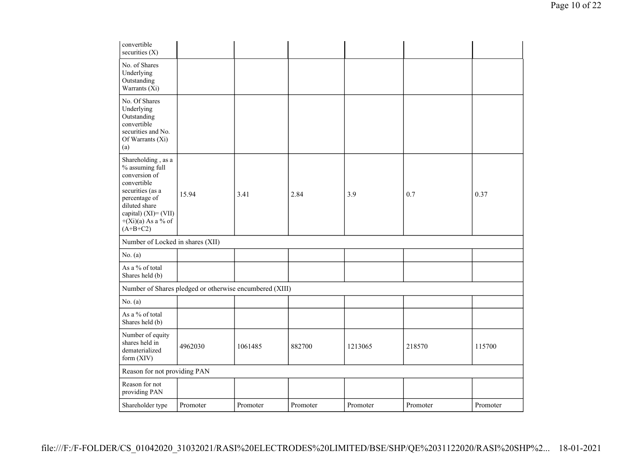| convertible<br>securities $(X)$                                                                                                                                                           |                                                         |          |          |          |          |          |
|-------------------------------------------------------------------------------------------------------------------------------------------------------------------------------------------|---------------------------------------------------------|----------|----------|----------|----------|----------|
| No. of Shares<br>Underlying<br>Outstanding<br>Warrants (Xi)                                                                                                                               |                                                         |          |          |          |          |          |
| No. Of Shares<br>Underlying<br>Outstanding<br>convertible<br>securities and No.<br>Of Warrants (Xi)<br>(a)                                                                                |                                                         |          |          |          |          |          |
| Shareholding, as a<br>% assuming full<br>conversion of<br>convertible<br>securities (as a<br>percentage of<br>diluted share<br>capital) (XI)= (VII)<br>$+(Xi)(a)$ As a % of<br>$(A+B+C2)$ | 15.94                                                   | 3.41     | 2.84     | 3.9      | 0.7      | 0.37     |
| Number of Locked in shares (XII)                                                                                                                                                          |                                                         |          |          |          |          |          |
| No. $(a)$                                                                                                                                                                                 |                                                         |          |          |          |          |          |
| As a % of total<br>Shares held (b)                                                                                                                                                        |                                                         |          |          |          |          |          |
|                                                                                                                                                                                           | Number of Shares pledged or otherwise encumbered (XIII) |          |          |          |          |          |
| No. $(a)$                                                                                                                                                                                 |                                                         |          |          |          |          |          |
| As a $\%$ of total<br>Shares held (b)                                                                                                                                                     |                                                         |          |          |          |          |          |
| Number of equity<br>shares held in<br>dematerialized<br>form (XIV)                                                                                                                        | 4962030                                                 | 1061485  | 882700   | 1213065  | 218570   | 115700   |
| Reason for not providing PAN                                                                                                                                                              |                                                         |          |          |          |          |          |
| Reason for not<br>providing PAN                                                                                                                                                           |                                                         |          |          |          |          |          |
| Shareholder type                                                                                                                                                                          | Promoter                                                | Promoter | Promoter | Promoter | Promoter | Promoter |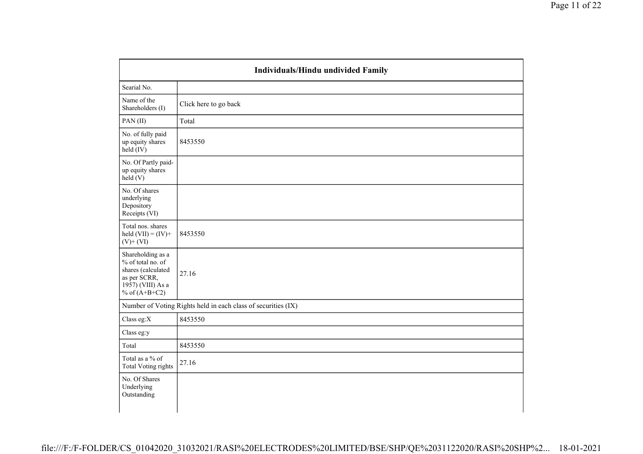|                                                                                                                         | Individuals/Hindu undivided Family                            |
|-------------------------------------------------------------------------------------------------------------------------|---------------------------------------------------------------|
| Searial No.                                                                                                             |                                                               |
| Name of the<br>Shareholders (I)                                                                                         | Click here to go back                                         |
| PAN(II)                                                                                                                 | Total                                                         |
| No. of fully paid<br>up equity shares<br>$held$ (IV)                                                                    | 8453550                                                       |
| No. Of Partly paid-<br>up equity shares<br>$\text{held}(V)$                                                             |                                                               |
| No. Of shares<br>underlying<br>Depository<br>Receipts (VI)                                                              |                                                               |
| Total nos. shares<br>held $(VII) = (IV) +$<br>$(V)$ + $(VI)$                                                            | 8453550                                                       |
| Shareholding as a<br>% of total no. of<br>shares (calculated<br>as per SCRR,<br>$1957$ ) (VIII) As a<br>% of $(A+B+C2)$ | 27.16                                                         |
|                                                                                                                         | Number of Voting Rights held in each class of securities (IX) |
| Class eg:X                                                                                                              | 8453550                                                       |
| Class eg:y                                                                                                              |                                                               |
| Total                                                                                                                   | 8453550                                                       |
| Total as a % of<br><b>Total Voting rights</b>                                                                           | 27.16                                                         |
| No. Of Shares<br>Underlying<br>Outstanding                                                                              |                                                               |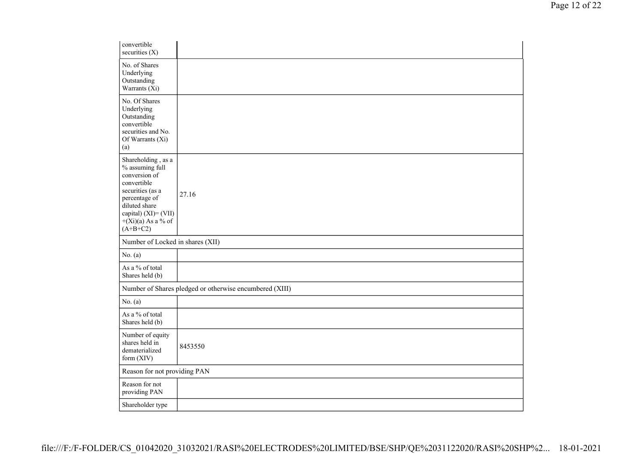| convertible<br>securities $(X)$                                                                                                                                                           |                                                         |
|-------------------------------------------------------------------------------------------------------------------------------------------------------------------------------------------|---------------------------------------------------------|
| No. of Shares<br>Underlying<br>Outstanding<br>Warrants (Xi)                                                                                                                               |                                                         |
| No. Of Shares<br>Underlying<br>Outstanding<br>convertible<br>securities and No.<br>Of Warrants (Xi)<br>(a)                                                                                |                                                         |
| Shareholding, as a<br>% assuming full<br>conversion of<br>convertible<br>securities (as a<br>percentage of<br>diluted share<br>capital) (XI)= (VII)<br>$+(Xi)(a)$ As a % of<br>$(A+B+C2)$ | 27.16                                                   |
| Number of Locked in shares (XII)                                                                                                                                                          |                                                         |
| No. $(a)$                                                                                                                                                                                 |                                                         |
| As a % of total<br>Shares held (b)                                                                                                                                                        |                                                         |
|                                                                                                                                                                                           | Number of Shares pledged or otherwise encumbered (XIII) |
| No. $(a)$                                                                                                                                                                                 |                                                         |
| As a % of total<br>Shares held (b)                                                                                                                                                        |                                                         |
| Number of equity<br>shares held in<br>dematerialized<br>form (XIV)                                                                                                                        | 8453550                                                 |
| Reason for not providing PAN                                                                                                                                                              |                                                         |
| Reason for not<br>providing PAN                                                                                                                                                           |                                                         |
| Shareholder type                                                                                                                                                                          |                                                         |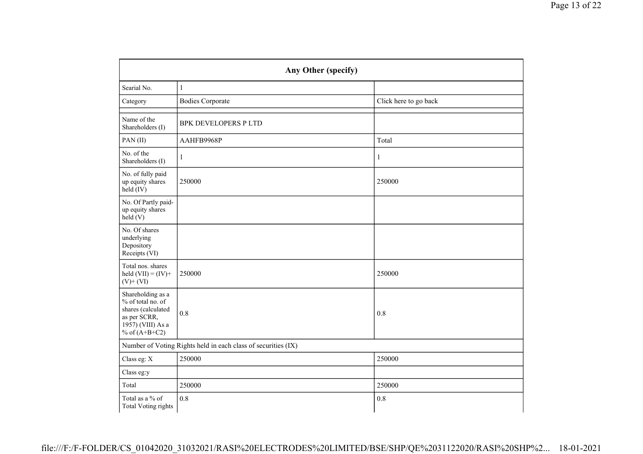|                                                                                                                      | Any Other (specify)                                           |                       |  |  |  |  |  |  |  |
|----------------------------------------------------------------------------------------------------------------------|---------------------------------------------------------------|-----------------------|--|--|--|--|--|--|--|
| Searial No.                                                                                                          | $\mathbf{1}$                                                  |                       |  |  |  |  |  |  |  |
| Category                                                                                                             | <b>Bodies Corporate</b>                                       | Click here to go back |  |  |  |  |  |  |  |
| Name of the<br>Shareholders (I)                                                                                      | <b>BPK DEVELOPERS P LTD</b>                                   |                       |  |  |  |  |  |  |  |
| PAN(II)                                                                                                              | AAHFB9968P                                                    | Total                 |  |  |  |  |  |  |  |
| No. of the<br>Shareholders (I)                                                                                       | 1                                                             | 1                     |  |  |  |  |  |  |  |
| No. of fully paid<br>up equity shares<br>$\text{held} (IV)$                                                          | 250000                                                        | 250000                |  |  |  |  |  |  |  |
| No. Of Partly paid-<br>up equity shares<br>$\text{held}(V)$                                                          |                                                               |                       |  |  |  |  |  |  |  |
| No. Of shares<br>underlying<br>Depository<br>Receipts (VI)                                                           |                                                               |                       |  |  |  |  |  |  |  |
| Total nos. shares<br>held $(VII) = (IV) +$<br>$(V) + (VI)$                                                           | 250000                                                        | 250000                |  |  |  |  |  |  |  |
| Shareholding as a<br>% of total no. of<br>shares (calculated<br>as per SCRR,<br>1957) (VIII) As a<br>% of $(A+B+C2)$ | 0.8                                                           | 0.8                   |  |  |  |  |  |  |  |
|                                                                                                                      | Number of Voting Rights held in each class of securities (IX) |                       |  |  |  |  |  |  |  |
| Class eg: X                                                                                                          | 250000                                                        | 250000                |  |  |  |  |  |  |  |
| Class eg:y                                                                                                           |                                                               |                       |  |  |  |  |  |  |  |
| Total                                                                                                                | 250000                                                        | 250000                |  |  |  |  |  |  |  |
| Total as a % of<br><b>Total Voting rights</b>                                                                        | 0.8                                                           | 0.8                   |  |  |  |  |  |  |  |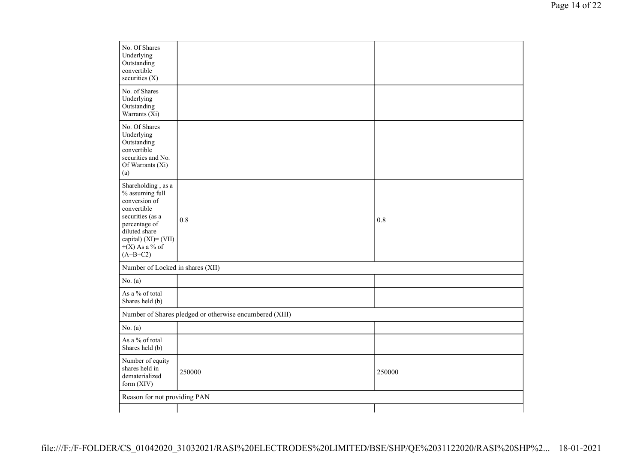| No. Of Shares<br>Underlying<br>Outstanding<br>convertible<br>securities (X)                                                                                                              |                                                         |        |
|------------------------------------------------------------------------------------------------------------------------------------------------------------------------------------------|---------------------------------------------------------|--------|
| No. of Shares<br>Underlying<br>Outstanding<br>Warrants $(X_i)$                                                                                                                           |                                                         |        |
| No. Of Shares<br>Underlying<br>Outstanding<br>convertible<br>securities and No.<br>Of Warrants (Xi)<br>(a)                                                                               |                                                         |        |
| Shareholding, as a<br>% assuming full<br>conversion of<br>convertible<br>securities (as a<br>percentage of<br>diluted share<br>capital) $(XI) = (VII)$<br>$+(X)$ As a % of<br>$(A+B+C2)$ | 0.8                                                     | 0.8    |
| Number of Locked in shares (XII)                                                                                                                                                         |                                                         |        |
| No. $(a)$                                                                                                                                                                                |                                                         |        |
| As a % of total<br>Shares held (b)                                                                                                                                                       |                                                         |        |
|                                                                                                                                                                                          | Number of Shares pledged or otherwise encumbered (XIII) |        |
| No. $(a)$                                                                                                                                                                                |                                                         |        |
| As a % of total<br>Shares held (b)                                                                                                                                                       |                                                         |        |
| Number of equity<br>shares held in<br>dematerialized<br>form (XIV)                                                                                                                       | 250000                                                  | 250000 |
| Reason for not providing PAN                                                                                                                                                             |                                                         |        |
|                                                                                                                                                                                          |                                                         |        |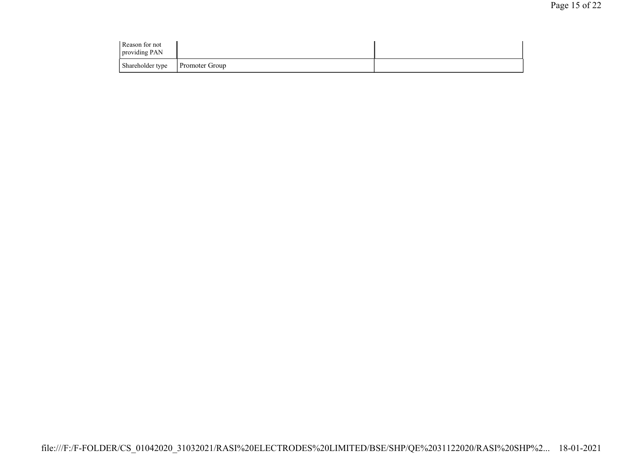| Reason for not<br>providing PAN |                |  |
|---------------------------------|----------------|--|
| Shareholder type                | Promoter Group |  |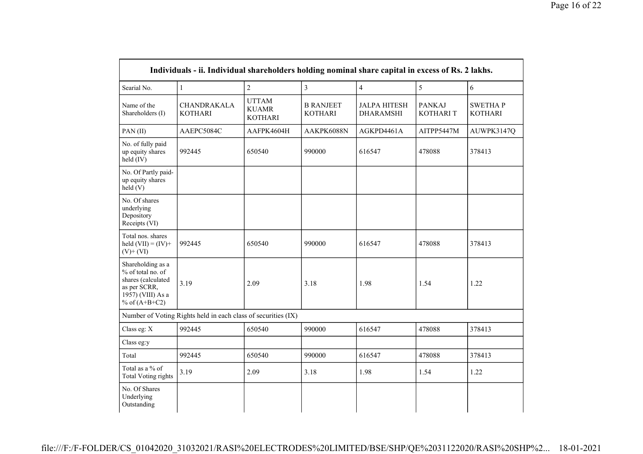|                                                                                                                      | Individuals - ii. Individual shareholders holding nominal share capital in excess of Rs. 2 lakhs. |                                                |                                    |                                         |                            |                                  |
|----------------------------------------------------------------------------------------------------------------------|---------------------------------------------------------------------------------------------------|------------------------------------------------|------------------------------------|-----------------------------------------|----------------------------|----------------------------------|
| Searial No.                                                                                                          | $\mathbf{1}$                                                                                      | $\overline{2}$                                 | $\overline{3}$                     | $\overline{4}$                          | 5                          | 6                                |
| Name of the<br>Shareholders (I)                                                                                      | <b>CHANDRAKALA</b><br><b>KOTHARI</b>                                                              | <b>UTTAM</b><br><b>KUAMR</b><br><b>KOTHARI</b> | <b>B RANJEET</b><br><b>KOTHARI</b> | <b>JALPA HITESH</b><br><b>DHARAMSHI</b> | <b>PANKAJ</b><br>KOTHARI T | <b>SWETHAP</b><br><b>KOTHARI</b> |
| PAN(II)                                                                                                              | AAEPC5084C                                                                                        | AAFPK4604H                                     | AAKPK6088N                         | AGKPD4461A                              | AITPP5447M                 | AUWPK3147Q                       |
| No. of fully paid<br>up equity shares<br>held (IV)                                                                   | 992445                                                                                            | 650540                                         | 990000                             | 616547                                  | 478088                     | 378413                           |
| No. Of Partly paid-<br>up equity shares<br>held(V)                                                                   |                                                                                                   |                                                |                                    |                                         |                            |                                  |
| No. Of shares<br>underlying<br>Depository<br>Receipts (VI)                                                           |                                                                                                   |                                                |                                    |                                         |                            |                                  |
| Total nos. shares<br>held $(VII) = (IV) +$<br>$(V)$ + $(VI)$                                                         | 992445<br>650540                                                                                  |                                                | 990000<br>616547                   |                                         | 478088                     | 378413                           |
| Shareholding as a<br>% of total no. of<br>shares (calculated<br>as per SCRR,<br>1957) (VIII) As a<br>% of $(A+B+C2)$ | 3.19                                                                                              | 2.09                                           | 3.18                               | 1.98                                    | 1.54                       | 1.22                             |
|                                                                                                                      | Number of Voting Rights held in each class of securities (IX)                                     |                                                |                                    |                                         |                            |                                  |
| Class eg: X                                                                                                          | 992445                                                                                            | 650540                                         | 990000                             | 616547                                  | 478088                     | 378413                           |
| Class eg:y                                                                                                           |                                                                                                   |                                                |                                    |                                         |                            |                                  |
| Total                                                                                                                | 992445                                                                                            | 650540                                         | 990000                             | 616547                                  | 478088                     | 378413                           |
| Total as a % of<br><b>Total Voting rights</b>                                                                        | 3.19                                                                                              | 2.09                                           | 3.18                               | 1.98                                    | 1.54                       | 1.22                             |
| No. Of Shares<br>Underlying<br>Outstanding                                                                           |                                                                                                   |                                                |                                    |                                         |                            |                                  |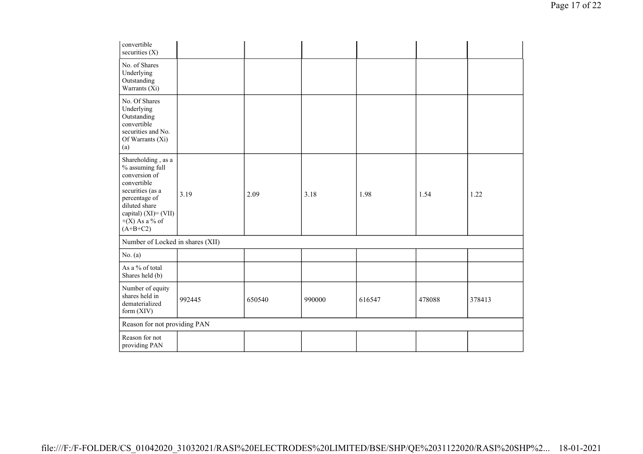| convertible<br>securities $(X)$                                                                                                                                                       |        |        |        |        |        |        |
|---------------------------------------------------------------------------------------------------------------------------------------------------------------------------------------|--------|--------|--------|--------|--------|--------|
| No. of Shares<br>Underlying<br>Outstanding<br>Warrants (Xi)                                                                                                                           |        |        |        |        |        |        |
| No. Of Shares<br>Underlying<br>Outstanding<br>convertible<br>securities and No.<br>Of Warrants (Xi)<br>(a)                                                                            |        |        |        |        |        |        |
| Shareholding, as a<br>% assuming full<br>conversion of<br>convertible<br>securities (as a<br>percentage of<br>diluted share<br>capital) (XI)= (VII)<br>$+(X)$ As a % of<br>$(A+B+C2)$ | 3.19   | 2.09   | 3.18   | 1.98   | 1.54   | 1.22   |
| Number of Locked in shares (XII)                                                                                                                                                      |        |        |        |        |        |        |
| No. $(a)$                                                                                                                                                                             |        |        |        |        |        |        |
| As a % of total<br>Shares held (b)                                                                                                                                                    |        |        |        |        |        |        |
| Number of equity<br>shares held in<br>dematerialized<br>form (XIV)                                                                                                                    | 992445 | 650540 | 990000 | 616547 | 478088 | 378413 |
| Reason for not providing PAN                                                                                                                                                          |        |        |        |        |        |        |
| Reason for not<br>providing PAN                                                                                                                                                       |        |        |        |        |        |        |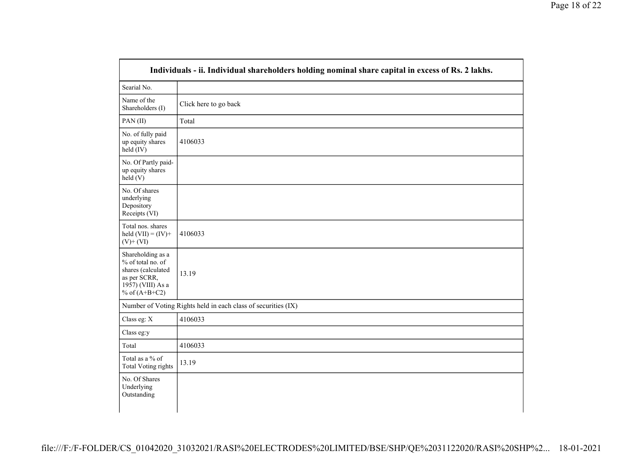|                                                                                                                      | Individuals - ii. Individual shareholders holding nominal share capital in excess of Rs. 2 lakhs. |
|----------------------------------------------------------------------------------------------------------------------|---------------------------------------------------------------------------------------------------|
| Searial No.                                                                                                          |                                                                                                   |
| Name of the<br>Shareholders (I)                                                                                      | Click here to go back                                                                             |
| PAN(II)                                                                                                              | Total                                                                                             |
| No. of fully paid<br>up equity shares<br>held (IV)                                                                   | 4106033                                                                                           |
| No. Of Partly paid-<br>up equity shares<br>held (V)                                                                  |                                                                                                   |
| No. Of shares<br>underlying<br>Depository<br>Receipts (VI)                                                           |                                                                                                   |
| Total nos. shares<br>held $(VII) = (IV) +$<br>$(V)$ + $(VI)$                                                         | 4106033                                                                                           |
| Shareholding as a<br>% of total no. of<br>shares (calculated<br>as per SCRR,<br>1957) (VIII) As a<br>% of $(A+B+C2)$ | 13.19                                                                                             |
|                                                                                                                      | Number of Voting Rights held in each class of securities (IX)                                     |
| Class eg: X                                                                                                          | 4106033                                                                                           |
| Class eg:y                                                                                                           |                                                                                                   |
| Total                                                                                                                | 4106033                                                                                           |
| Total as a % of<br><b>Total Voting rights</b>                                                                        | 13.19                                                                                             |
| No. Of Shares<br>Underlying<br>Outstanding                                                                           |                                                                                                   |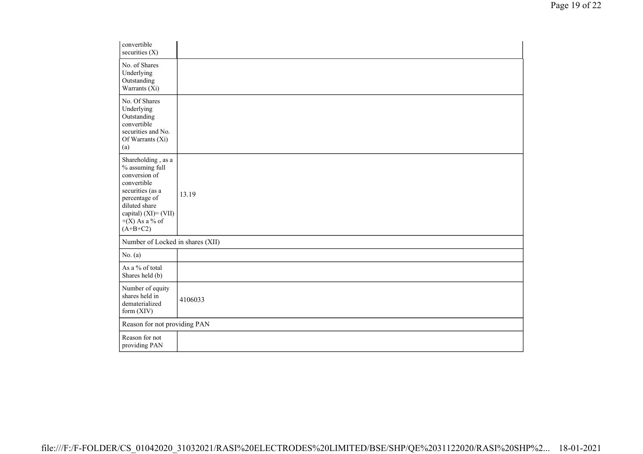| convertible<br>securities (X)                                                                                                                                                            |         |
|------------------------------------------------------------------------------------------------------------------------------------------------------------------------------------------|---------|
| No. of Shares<br>Underlying<br>Outstanding<br>Warrants (Xi)                                                                                                                              |         |
| No. Of Shares<br>Underlying<br>Outstanding<br>convertible<br>securities and No.<br>Of Warrants (Xi)<br>(a)                                                                               |         |
| Shareholding, as a<br>% assuming full<br>conversion of<br>convertible<br>securities (as a<br>percentage of<br>diluted share<br>capital) $(XI) = (VII)$<br>$+(X)$ As a % of<br>$(A+B+C2)$ | 13.19   |
| Number of Locked in shares (XII)                                                                                                                                                         |         |
| No. $(a)$                                                                                                                                                                                |         |
| As a % of total<br>Shares held (b)                                                                                                                                                       |         |
| Number of equity<br>shares held in<br>dematerialized<br>form (XIV)                                                                                                                       | 4106033 |
| Reason for not providing PAN                                                                                                                                                             |         |
| Reason for not<br>providing PAN                                                                                                                                                          |         |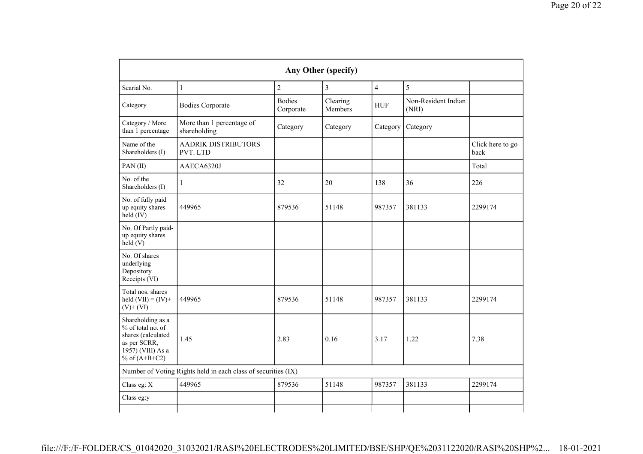|                                                                                                                      | Any Other (specify)                                                                                 |                |                     |                |          |                          |  |  |  |  |
|----------------------------------------------------------------------------------------------------------------------|-----------------------------------------------------------------------------------------------------|----------------|---------------------|----------------|----------|--------------------------|--|--|--|--|
| Searial No.                                                                                                          | $\mathbf{1}$                                                                                        | $\overline{2}$ | $\overline{3}$      | $\overline{4}$ | 5        |                          |  |  |  |  |
| Category                                                                                                             | <b>Bodies</b><br>Clearing<br><b>Bodies Corporate</b><br><b>HUF</b><br>Members<br>(NRI)<br>Corporate |                | Non-Resident Indian |                |          |                          |  |  |  |  |
| Category / More<br>than 1 percentage                                                                                 | More than 1 percentage of<br>shareholding                                                           | Category       | Category            | Category       | Category |                          |  |  |  |  |
| Name of the<br>Shareholders (I)                                                                                      | <b>AADRIK DISTRIBUTORS</b><br>PVT. LTD                                                              |                |                     |                |          | Click here to go<br>back |  |  |  |  |
| PAN(II)                                                                                                              | AAECA6320J                                                                                          |                |                     |                |          | Total                    |  |  |  |  |
| No. of the<br>Shareholders (I)                                                                                       | -1                                                                                                  | 32             | 20                  | 138            | 36       | 226                      |  |  |  |  |
| No. of fully paid<br>up equity shares<br>held (IV)                                                                   | 449965                                                                                              | 879536         | 51148               | 987357         | 381133   | 2299174                  |  |  |  |  |
| No. Of Partly paid-<br>up equity shares<br>held $(V)$                                                                |                                                                                                     |                |                     |                |          |                          |  |  |  |  |
| No. Of shares<br>underlying<br>Depository<br>Receipts (VI)                                                           |                                                                                                     |                |                     |                |          |                          |  |  |  |  |
| Total nos. shares<br>held $(VII) = (IV) +$<br>$(V)$ + $(VI)$                                                         | 449965                                                                                              | 879536         | 51148               | 987357         | 381133   | 2299174                  |  |  |  |  |
| Shareholding as a<br>% of total no. of<br>shares (calculated<br>as per SCRR,<br>1957) (VIII) As a<br>% of $(A+B+C2)$ | 1.45                                                                                                | 2.83           | 0.16                | 3.17           | 1.22     | 7.38                     |  |  |  |  |
|                                                                                                                      | Number of Voting Rights held in each class of securities (IX)                                       |                |                     |                |          |                          |  |  |  |  |
| Class eg: X                                                                                                          | 449965                                                                                              | 879536         | 51148               | 987357         | 381133   | 2299174                  |  |  |  |  |
| Class eg:y                                                                                                           |                                                                                                     |                |                     |                |          |                          |  |  |  |  |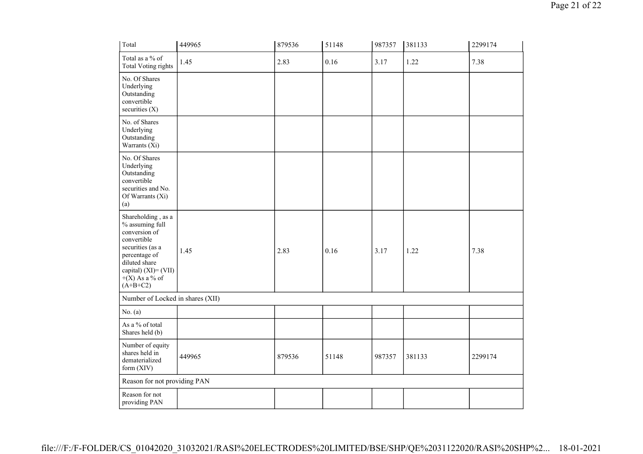| Total                                                                                                                                                                                    | 449965 | 879536 | 51148 | 987357 | 381133 | 2299174 |
|------------------------------------------------------------------------------------------------------------------------------------------------------------------------------------------|--------|--------|-------|--------|--------|---------|
| Total as a % of<br><b>Total Voting rights</b>                                                                                                                                            | 1.45   | 2.83   | 0.16  | 3.17   | 1.22   | 7.38    |
| No. Of Shares<br>Underlying<br>Outstanding<br>convertible<br>securities (X)                                                                                                              |        |        |       |        |        |         |
| No. of Shares<br>Underlying<br>Outstanding<br>Warrants (Xi)                                                                                                                              |        |        |       |        |        |         |
| No. Of Shares<br>Underlying<br>Outstanding<br>convertible<br>securities and No.<br>Of Warrants (Xi)<br>(a)                                                                               |        |        |       |        |        |         |
| Shareholding, as a<br>% assuming full<br>conversion of<br>convertible<br>securities (as a<br>percentage of<br>diluted share<br>capital) $(XI) = (VII)$<br>$+(X)$ As a % of<br>$(A+B+C2)$ | 1.45   | 2.83   | 0.16  | 3.17   | 1.22   | 7.38    |
| Number of Locked in shares (XII)                                                                                                                                                         |        |        |       |        |        |         |
| No. $(a)$                                                                                                                                                                                |        |        |       |        |        |         |
| As a % of total<br>Shares held (b)                                                                                                                                                       |        |        |       |        |        |         |
| Number of equity<br>shares held in<br>dematerialized<br>form $(XIV)$                                                                                                                     | 449965 | 879536 | 51148 | 987357 | 381133 | 2299174 |
| Reason for not providing PAN                                                                                                                                                             |        |        |       |        |        |         |
| Reason for not<br>providing PAN                                                                                                                                                          |        |        |       |        |        |         |